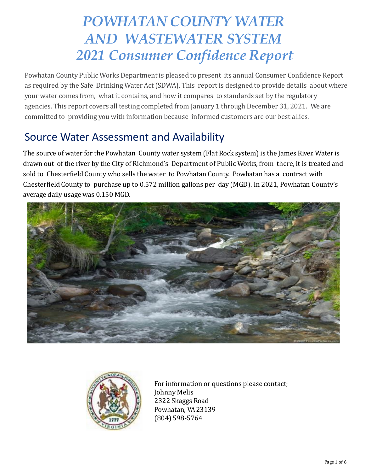# *POWHATAN COUNTY WATER AND WASTEWATER SYSTEM 2021 Consumer Confidence Report*

Powhatan County Public Works Department is pleased to present its annual Consumer Confidence Report as required by the Safe Drinking Water Act (SDWA). This report is designed to provide details about where your water comes from, what it contains, and how it compares to standards set by the regulatory agencies. This report covers all testing completed from January 1 through December 31, 2021. We are committed to providing you with information because informed customers are our best allies.

### Source Water Assessment and Availability

The source of water for the Powhatan County water system (Flat Rock system) is the James River. Water is drawn out of the river by the City of Richmond's Department of Public Works, from there, it is treated and sold to Chesterfield County who sells the water to Powhatan County. Powhatan has a contract with Chesterfield County to purchase up to 0.572 million gallons per day (MGD). In 2021, Powhatan County's average daily usage was 0.150 MGD.





For information or questions please contact; Johnny Melis 2322 Skaggs Road Powhatan, VA23139 (804) 598-5764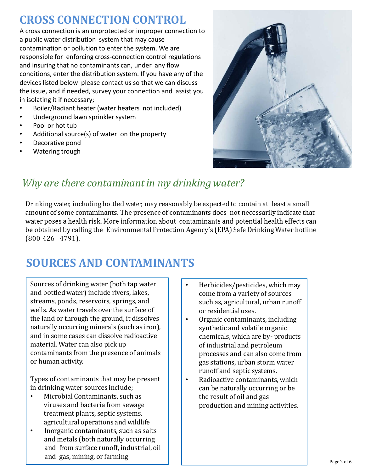### **CROSS CONNECTION CONTROL**

A cross connection is an unprotected or improper connection to a public water distribution system that may cause contamination or pollution to enter the system. We are responsible for enforcing cross-connection control regulations and insuring that no contaminants can, under any flow conditions, enter the distribution system. If you have any of the devices listed below please contact us so that we can discuss the issue, and if needed, survey your connection and assist you in isolating it if necessary;

- Boiler/Radiant heater (water heaters not included)
- Underground lawn sprinkler system
- Pool or hot tub
- Additional source(s) of water on the property
- Decorative pond
- Watering trough



### Why are there contaminant in my drinking water?

Drinking water, including bottled water, may reasonably be expected to contain at least a small amount of some contaminants. The presence of contaminants does not necessarily indicate that water poses a health risk. More information about contaminants and potential health effects can be obtained by calling the Environmental Protection Agency's (EPA) Safe Drinking Water hotline  $(800-426-4791)$ .

## **SOURCES AND CONTAMINANTS**

Sources of drinking water (both tap water and bottled water) include rivers, lakes, streams, ponds, reservoirs, springs, and wells. As water travels over the surface of the land or through the ground, it dissolves naturally occurring minerals (such as iron), and in some cases can dissolve radioactive material. Water can also pick up contaminants from the presence of animals or human activity.

Types of contaminants that may be present in drinking water sources include;

- Microbial Contaminants, such as viruses and bacteria from sewage treatment plants, septic systems, agricultural operations and wildlife
- Inorganic contaminants, such as salts and metals (both naturally occurring and from surface runoff, industrial, oil and gas, mining, or farming
- Herbicides/pesticides, which may come from a variety of sources such as, agricultural, urban runoff or residential uses.
- Organic contaminants, including synthetic and volatile organic chemicals, which are by- products of industrial and petroleum processes and can also come from gas stations, urban storm water runoff and septic systems.
- Radioactive contaminants, which can be naturally occurring or be the result of oil and gas production and mining activities.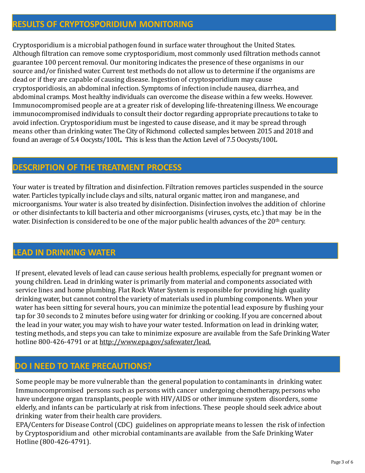#### **RESULTS OF CRYPTOSPORIDIUM MONITORING**

Cryptosporidium is a microbial pathogen found in surface water throughout the United States. Although filtration can remove some cryptosporidium, most commonly used filtration methods cannot guarantee 100 percent removal. Our monitoring indicates the presence of these organisms in our source and/or finished water. Current test methods do not allow us to determine if the organisms are dead or if they are capable of causing disease. Ingestion of cryptosporidium may cause cryptosporidiosis, an abdominal infection. Symptoms of infection include nausea, diarrhea, and abdominal cramps. Most healthy individuals can overcome the disease within a few weeks. However. Immunocompromised people are at a greater risk of developing life-threatening illness. We encourage immunocompromised individuals to consult their doctor regarding appropriate precautions to take to avoid infection. Cryptosporidium must be ingested to cause disease, and it may be spread through means other than drinking water. The City of Richmond collected samples between 2015 and 2018 and found an average of 5.4 Oocysts/100L. This is less than the Action Level of 7.5 Oocysts/100L

#### **DESCRIPTION OF THE TREATMENT PROCESS**

Your water is treated by filtration and disinfection. Filtration removes particles suspended in the source water. Particles typically include clays and silts, natural organic matter, iron and manganese, and microorganisms. Your water is also treated by disinfection. Disinfection involves the addition of chlorine or other disinfectants to kill bacteria and other microorganisms (viruses, cysts, etc.) that may be in the water. Disinfection is considered to be one of the major public health advances of the 20<sup>th</sup> century.

#### **LEAD IN DRINKING WATER**

If present, elevated levels of lead can cause serious health problems, especially for pregnant women or young children. Lead in drinking water is primarily from material and components associated with service lines and home plumbing. Flat Rock Water System is responsible for providing high quality drinking water, but cannot control the variety of materials used in plumbing components. When your water has been sitting for several hours, you can minimize the potential lead exposure by flushing your tap for 30 seconds to 2 minutes before using water for drinking or cooking. If you are concerned about the lead in your water, you may wish to have your water tested. Information on lead in drinking water, testing methods, and steps you can take to minimize exposure are available from the Safe Drinking Water hotline 800-426-4791 or at [http://www.epa.gov/safewater/lead.](http://www.epa.gov/safewater/lead)

#### **DO I NEED TO TAKE PRECAUTIONS?**

Some people may be more vulnerable than the general population to contaminants in drinking water. Immunocompromised persons such as persons with cancer undergoing chemotherapy, persons who have undergone organ transplants, people with HIV/AIDS or other immune system disorders, some elderly, and infants can be particularly at risk from infections. These people should seek advice about drinking water from their health care providers.

EPA/Centers for Disease Control (CDC) guidelines on appropriate means to lessen the risk of infection by Cryptosporidium and other microbial contaminants are available from the Safe Drinking Water Hotline (800-426-4791).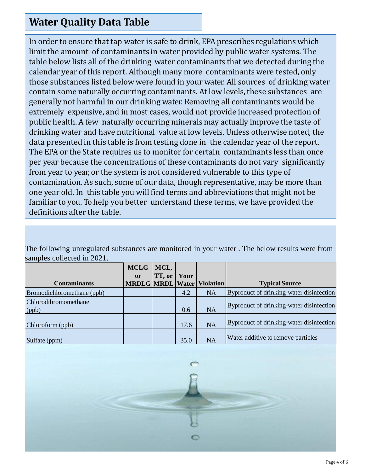### **Water Quality Data Table**

In order to ensure that tap water is safe to drink, EPA prescribes regulations which limit the amount of contaminants in water provided by public water systems. The table below lists all of the drinking water contaminants that we detected during the calendar year of this report. Although many more contaminants were tested, only those substances listed below were found in your water. All sources of drinking water contain some naturally occurring contaminants. At low levels, these substances are generally not harmful in our drinking water. Removing all contaminants would be extremely expensive, and in most cases, would not provide increased protection of public health. A few naturally occurring minerals may actually improve the taste of drinking water and have nutritional value at low levels. Unless otherwise noted, the data presented in this table is from testing done in the calendar year of the report. The EPA or the State requires us to monitor for certain contaminants less than once per year because the concentrations of these contaminants do not vary significantly from year to year, or the system is not considered vulnerable to this type of contamination. As such, some of our data, though representative, may be more than one year old. In this table you will find terms and abbreviations that might not be familiar to you. To help you better understand these terms, we have provided the definitions after the table.

The following unregulated substances are monitored in your water . The below results were from samples collected in 2021.

|                            | <b>MCLG</b>   | MCL,   |      |                                   |                                          |
|----------------------------|---------------|--------|------|-----------------------------------|------------------------------------------|
|                            | <sub>or</sub> | TT, or | Your |                                   |                                          |
| <b>Contaminants</b>        |               |        |      | <b>MRDLG</b> MRDL Water Violation | <b>Typical Source</b>                    |
| Bromodichloromethane (ppb) |               |        | 4.2  | <b>NA</b>                         | Byproduct of drinking-water disinfection |
| Chlorodibromomethane       |               |        |      |                                   | Byproduct of drinking-water disinfection |
| $\log$                     |               |        | 0.6  | <b>NA</b>                         |                                          |
|                            |               |        |      |                                   | Byproduct of drinking-water disinfection |
| Chloroform(ppb)            |               |        | 17.6 | <b>NA</b>                         |                                          |
| Sulfate (ppm)              |               |        | 35.0 | <b>NA</b>                         | Water additive to remove particles       |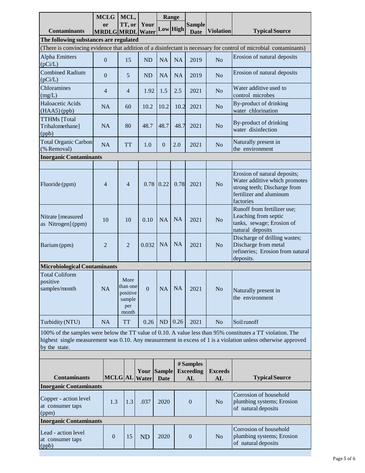|                                                                                                                                                                                                                                             | <b>MCLG</b>                       |                | MCL,                                                   |                              | Range            |           |                                     |                             |                                                                                                                                       |
|---------------------------------------------------------------------------------------------------------------------------------------------------------------------------------------------------------------------------------------------|-----------------------------------|----------------|--------------------------------------------------------|------------------------------|------------------|-----------|-------------------------------------|-----------------------------|---------------------------------------------------------------------------------------------------------------------------------------|
| <b>Contaminants</b>                                                                                                                                                                                                                         | <sub>or</sub><br><b>MRDLGMRDL</b> |                | TT, or                                                 | Your<br>Water                | Low High         |           | <b>Sample</b><br><b>Date</b>        | <b>Violation</b>            | <b>Typical Source</b>                                                                                                                 |
| The following substances are regulated                                                                                                                                                                                                      |                                   |                |                                                        |                              |                  |           |                                     |                             |                                                                                                                                       |
|                                                                                                                                                                                                                                             |                                   |                |                                                        |                              |                  |           |                                     |                             | (There is convincing evidence that addition of a disinfectant is necessary for control of microbial contaminants)                     |
| <b>Alpha Emitters</b><br>(pCi/L)                                                                                                                                                                                                            | $\overline{0}$                    |                | 15                                                     | <b>ND</b>                    | NA               | <b>NA</b> | 2019                                | N <sub>o</sub>              | Erosion of natural deposits                                                                                                           |
| <b>Combined Radium</b><br>(pCi/L)                                                                                                                                                                                                           | $\overline{0}$                    |                | 5                                                      | <b>ND</b>                    | <b>NA</b>        | <b>NA</b> | 2019                                | N <sub>o</sub>              | Erosion of natural deposits                                                                                                           |
| Chloramines<br>(mg/L)                                                                                                                                                                                                                       | $\overline{4}$                    |                | 4                                                      | 1.92                         | 1.5              | 2.5       | 2021                                | N <sub>o</sub>              | Water additive used to<br>control microbes                                                                                            |
| Haloacetic Acids<br>(HAA5)(ppb)                                                                                                                                                                                                             | <b>NA</b>                         |                | 60                                                     | 10.2                         | 10.2             | 10.2      | 2021                                | N <sub>o</sub>              | By-product of drinking<br>water chlorination                                                                                          |
| <b>TTHMs</b> [Total<br>Trihalomethane]<br>(ppb)                                                                                                                                                                                             | NA                                |                | 80                                                     | 48.7                         | 48.7             | 48.7      | 2021                                | N <sub>o</sub>              | By-product of drinking<br>water disinfection                                                                                          |
| <b>Total Organic Carbon</b><br>(% Removal)                                                                                                                                                                                                  | NA                                |                | <b>TT</b>                                              | 1.0                          | $\boldsymbol{0}$ | 2.0       | 2021                                | N <sub>o</sub>              | Naturally present in<br>the environment                                                                                               |
| <b>Inorganic Contaminants</b>                                                                                                                                                                                                               |                                   |                |                                                        |                              |                  |           |                                     |                             |                                                                                                                                       |
| Fluoride (ppm)                                                                                                                                                                                                                              | $\overline{4}$                    |                | $\overline{4}$                                         |                              | $0.78$ 0.22      | 0.78      | 2021                                | N <sub>o</sub>              | Erosion of natural deposits;<br>Water additive which promotes<br>strong teeth; Discharge from<br>fertilizer and aluminum<br>factories |
| Nitrate [measured<br>as Nitrogen] (ppm)                                                                                                                                                                                                     | 10                                |                | 10                                                     | 0.10                         | <b>NA</b>        | <b>NA</b> | 2021                                | N <sub>o</sub>              | Runoff from fertilizer use;<br>Leaching from septic<br>tanks, sewage; Erosion of<br>natural deposits                                  |
| Barium (ppm)                                                                                                                                                                                                                                | $\overline{2}$                    |                | $\overline{2}$                                         | 0.032                        | <b>NA</b>        | <b>NA</b> | 2021                                | N <sub>o</sub>              | Discharge of drilling wastes;<br>Discharge from metal<br>refineries; Erosion from natural<br>deposits.                                |
| <b>Microbiological Contaminants</b>                                                                                                                                                                                                         |                                   |                |                                                        |                              |                  |           |                                     |                             |                                                                                                                                       |
| <b>Total Coliform</b><br>positive<br>samples/month                                                                                                                                                                                          | NA                                |                | More<br>than one<br>positive<br>sample<br>per<br>month | $\overline{0}$               | <b>NA</b>        | <b>NA</b> | 2021                                | N <sub>o</sub>              | Naturally present in<br>the environment                                                                                               |
| Turbidity (NTU)                                                                                                                                                                                                                             | NA                                |                | <b>TT</b>                                              | 0.26                         | <b>ND</b>        | 0.26      | 2021                                | N <sub>o</sub>              | Soilrunoff                                                                                                                            |
| 100% of the samples were below the TT value of 0.10. A value less than 95% constitutes a TT violation. The<br>highest single measurement was 0.10. Any measurement in excess of 1 is a violation unless otherwise approved<br>by the state. |                                   |                |                                                        |                              |                  |           |                                     |                             |                                                                                                                                       |
|                                                                                                                                                                                                                                             |                                   |                |                                                        |                              |                  |           |                                     |                             |                                                                                                                                       |
| <b>Contaminants</b>                                                                                                                                                                                                                         |                                   |                |                                                        | Your Sample<br>MCLG AL Water | <b>Date</b>      |           | # Samples<br><b>Exceeding</b><br>AL | <b>Exceeds</b><br><b>AL</b> | <b>Typical Source</b>                                                                                                                 |
| <b>Inorganic Contaminants</b>                                                                                                                                                                                                               |                                   |                |                                                        |                              |                  |           |                                     |                             |                                                                                                                                       |
| Copper - action level<br>at consumer taps<br>(ppm)                                                                                                                                                                                          |                                   | 1.3            | 1.3                                                    | .037                         | 2020             |           | $\boldsymbol{0}$                    | N <sub>o</sub>              | Corrosion of household<br>plumbing systems; Erosion<br>of natural deposits                                                            |
|                                                                                                                                                                                                                                             | <b>Inorganic Contaminants</b>     |                |                                                        |                              |                  |           |                                     |                             |                                                                                                                                       |
| Lead - action level<br>at consumer taps<br>(ppb)                                                                                                                                                                                            |                                   | $\overline{0}$ | 15                                                     | <b>ND</b>                    | 2020             |           | $\overline{0}$                      | N <sub>o</sub>              | Corrosion of household<br>plumbing systems; Erosion<br>of natural deposits                                                            |